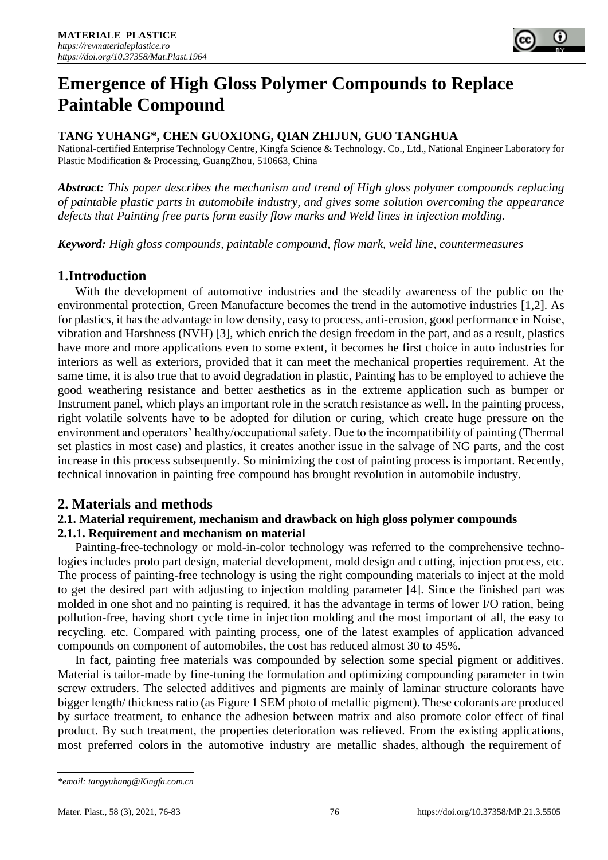

# **Emergence of High Gloss Polymer Compounds to Replace Paintable Compound**

# **TANG YUHANG\*, CHEN GUOXIONG, QIAN ZHIJUN, GUO TANGHUA**

National-certified Enterprise Technology Centre, Kingfa Science & Technology. Co., Ltd., National Engineer Laboratory for Plastic Modification & Processing, GuangZhou, 510663, China

*Abstract: This paper describes the mechanism and trend of High gloss polymer compounds replacing of paintable plastic parts in automobile industry, and gives some solution overcoming the appearance defects that Painting free parts form easily flow marks and Weld lines in injection molding.*

*Keyword: High gloss compounds, paintable compound, flow mark, weld line, countermeasures*

# **1.Introduction**

With the development of automotive industries and the steadily awareness of the public on the environmental protection, Green Manufacture becomes the trend in the automotive industries [1,2]. As for plastics, it has the advantage in low density, easy to process, anti-erosion, good performance in Noise, vibration and Harshness (NVH) [3], which enrich the design freedom in the part, and as a result, plastics have more and more applications even to some extent, it becomes he first choice in auto industries for interiors as well as exteriors, provided that it can meet the mechanical properties requirement. At the same time, it is also true that to avoid degradation in plastic, Painting has to be employed to achieve the good weathering resistance and better aesthetics as in the extreme application such as bumper or Instrument panel, which plays an important role in the scratch resistance as well. In the painting process, right volatile solvents have to be adopted for dilution or curing, which create huge pressure on the environment and operators' healthy/occupational safety. Due to the incompatibility of painting (Thermal set plastics in most case) and plastics, it creates another issue in the salvage of NG parts, and the cost increase in this process subsequently. So minimizing the cost of painting process is important. Recently, technical innovation in painting free compound has brought revolution in automobile industry.

# **2. Materials and methods**

#### **2.1. Material requirement, mechanism and drawback on high gloss polymer compounds 2.1.1. Requirement and mechanism on material**

Painting-free-technology or mold-in-color technology was referred to the comprehensive technologies includes proto part design, material development, mold design and cutting, injection process, etc. The process of painting-free technology is using the right compounding materials to inject at the mold to get the desired part with adjusting to injection molding parameter [4]. Since the finished part was molded in one shot and no painting is required, it has the advantage in terms of lower I/O ration, being pollution-free, having short cycle time in injection molding and the most important of all, the easy to recycling. etc. Compared with painting process, one of the latest examples of application advanced compounds on component of automobiles, the cost has reduced almost 30 to 45%.

In fact, painting free materials was compounded by selection some special pigment or additives. Material is tailor-made by fine-tuning the formulation and optimizing compounding parameter in twin screw extruders. The selected additives and pigments are mainly of laminar structure colorants have bigger length/ thickness ratio (as Figure 1 SEM photo of metallic pigment). These colorants are produced by surface treatment, to enhance the adhesion between matrix and also promote color effect of final product. By such treatment, the properties deterioration was relieved. From the existing applications, most preferred colors in the automotive industry are metallic shades, although the requirement of

*<sup>\*</sup>email: tangyuhang@Kingfa.com.cn*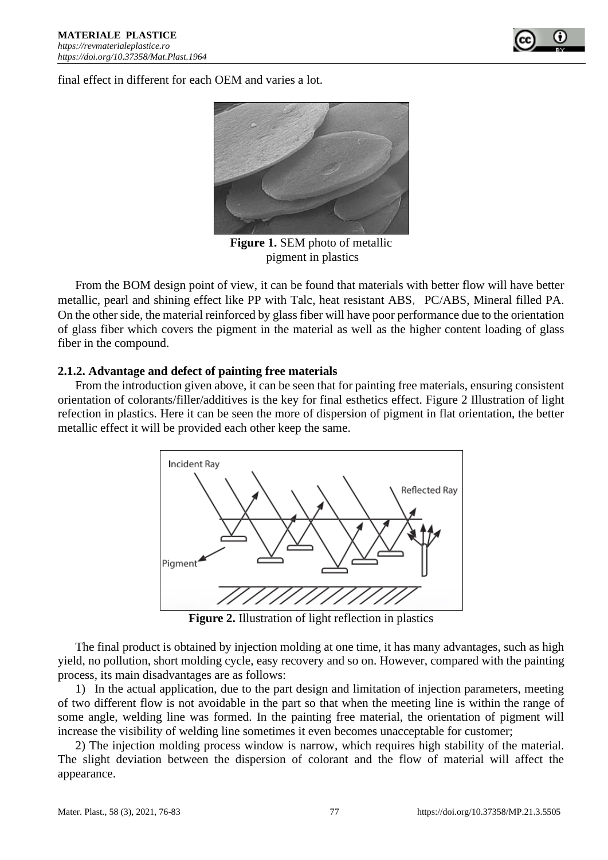

final effect in different for each OEM and varies a lot.



**Figure 1.** SEM photo of metallic pigment in plastics

From the BOM design point of view, it can be found that materials with better flow will have better metallic, pearl and shining effect like PP with Talc, heat resistant ABS, PC/ABS, Mineral filled PA. On the other side, the material reinforced by glass fiber will have poor performance due to the orientation of glass fiber which covers the pigment in the material as well as the higher content loading of glass fiber in the compound.

## **2.1.2. Advantage and defect of painting free materials**

From the introduction given above, it can be seen that for painting free materials, ensuring consistent orientation of colorants/filler/additives is the key for final esthetics effect. Figure 2 Illustration of light refection in plastics. Here it can be seen the more of dispersion of pigment in flat orientation, the better metallic effect it will be provided each other keep the same.



**Figure 2.** Illustration of light reflection in plastics

The final product is obtained by injection molding at one time, it has many advantages, such as high yield, no pollution, short molding cycle, easy recovery and so on. However, compared with the painting process, its main disadvantages are as follows:

1) In the actual application, due to the part design and limitation of injection parameters, meeting of two different flow is not avoidable in the part so that when the meeting line is within the range of some angle, welding line was formed. In the painting free material, the orientation of pigment will increase the visibility of welding line sometimes it even becomes unacceptable for customer;

2) The injection molding process window is narrow, which requires high stability of the material. The slight deviation between the dispersion of colorant and the flow of material will affect the appearance.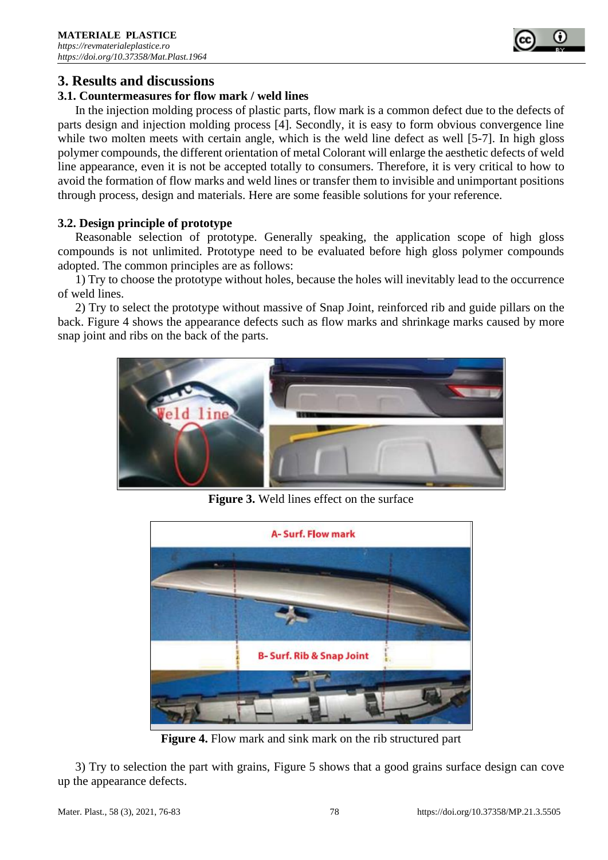

# **3. Results and discussions**

#### **3.1. Countermeasures for flow mark / weld lines**

In the injection molding process of plastic parts, flow mark is a common defect due to the defects of parts design and injection molding process [4]. Secondly, it is easy to form obvious convergence line while two molten meets with certain angle, which is the weld line defect as well [5-7]. In high gloss polymer compounds, the different orientation of metal Colorant will enlarge the aesthetic defects of weld line appearance, even it is not be accepted totally to consumers. Therefore, it is very critical to how to avoid the formation of flow marks and weld lines or transfer them to invisible and unimportant positions through process, design and materials. Here are some feasible solutions for your reference.

#### **3.2. Design principle of prototype**

Reasonable selection of prototype. Generally speaking, the application scope of high gloss compounds is not unlimited. Prototype need to be evaluated before high gloss polymer compounds adopted. The common principles are as follows:

1) Try to choose the prototype without holes, because the holes will inevitably lead to the occurrence of weld lines.

2) Try to select the prototype without massive of Snap Joint, reinforced rib and guide pillars on the back. Figure 4 shows the appearance defects such as flow marks and shrinkage marks caused by more snap joint and ribs on the back of the parts.



**Figure 3.** Weld lines effect on the surface



**Figure 4.** Flow mark and sink mark on the rib structured part

3) Try to selection the part with grains, Figure 5 shows that a good grains surface design can cove up the appearance defects.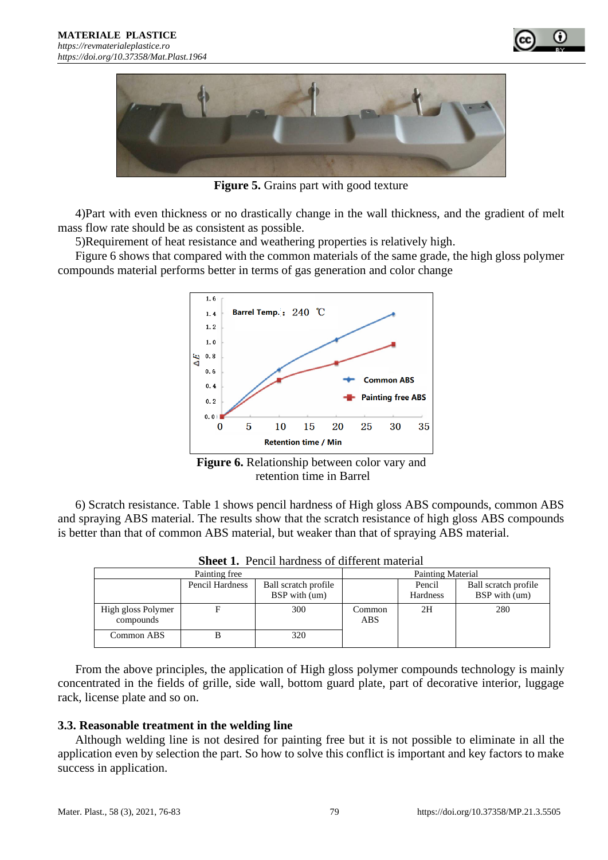



**Figure 5.** Grains part with good texture

4)Part with even thickness or no drastically change in the wall thickness, and the gradient of melt mass flow rate should be as consistent as possible.

5)Requirement of heat resistance and weathering properties is relatively high.

Figure 6 shows that compared with the common materials of the same grade, the high gloss polymer compounds material performs better in terms of gas generation and color change



retention time in Barrel

6) Scratch resistance. Table 1 shows pencil hardness of High gloss ABS compounds, common ABS and spraying ABS material. The results show that the scratch resistance of high gloss ABS compounds is better than that of common ABS material, but weaker than that of spraying ABS material.

| Painting free                   |                 |                                       | <b>Painting Material</b> |                    |                                       |
|---------------------------------|-----------------|---------------------------------------|--------------------------|--------------------|---------------------------------------|
|                                 | Pencil Hardness | Ball scratch profile<br>BSP with (um) |                          | Pencil<br>Hardness | Ball scratch profile<br>BSP with (um) |
| High gloss Polymer<br>compounds |                 | 300                                   | Common<br><b>ABS</b>     | 2H                 | 280                                   |
| Common ABS                      | в               | 320                                   |                          |                    |                                       |

**Sheet 1.** Pencil hardness of different material

From the above principles, the application of High gloss polymer compounds technology is mainly concentrated in the fields of grille, side wall, bottom guard plate, part of decorative interior, luggage rack, license plate and so on.

# **3.3. Reasonable treatment in the welding line**

Although welding line is not desired for painting free but it is not possible to eliminate in all the application even by selection the part. So how to solve this conflict is important and key factors to make success in application.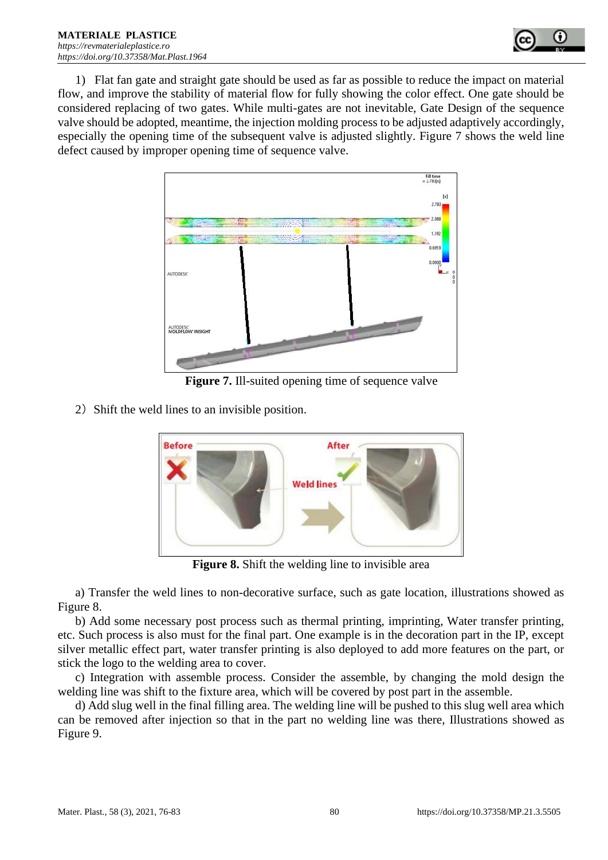

1) Flat fan gate and straight gate should be used as far as possible to reduce the impact on material flow, and improve the stability of material flow for fully showing the color effect. One gate should be considered replacing of two gates. While multi-gates are not inevitable, Gate Design of the sequence valve should be adopted, meantime, the injection molding process to be adjusted adaptively accordingly, especially the opening time of the subsequent valve is adjusted slightly. Figure 7 shows the weld line defect caused by improper opening time of sequence valve.



**Figure 7.** Ill-suited opening time of sequence valve

2) Shift the weld lines to an invisible position.



**Figure 8.** Shift the welding line to invisible area

a) Transfer the weld lines to non-decorative surface, such as gate location, illustrations showed as Figure 8.

b) Add some necessary post process such as thermal printing, imprinting, Water transfer printing, etc. Such process is also must for the final part. One example is in the decoration part in the IP, except silver metallic effect part, water transfer printing is also deployed to add more features on the part, or stick the logo to the welding area to cover.

c) Integration with assemble process. Consider the assemble, by changing the mold design the welding line was shift to the fixture area, which will be covered by post part in the assemble.

d) Add slug well in the final filling area. The welding line will be pushed to this slug well area which can be removed after injection so that in the part no welding line was there, Illustrations showed as Figure 9.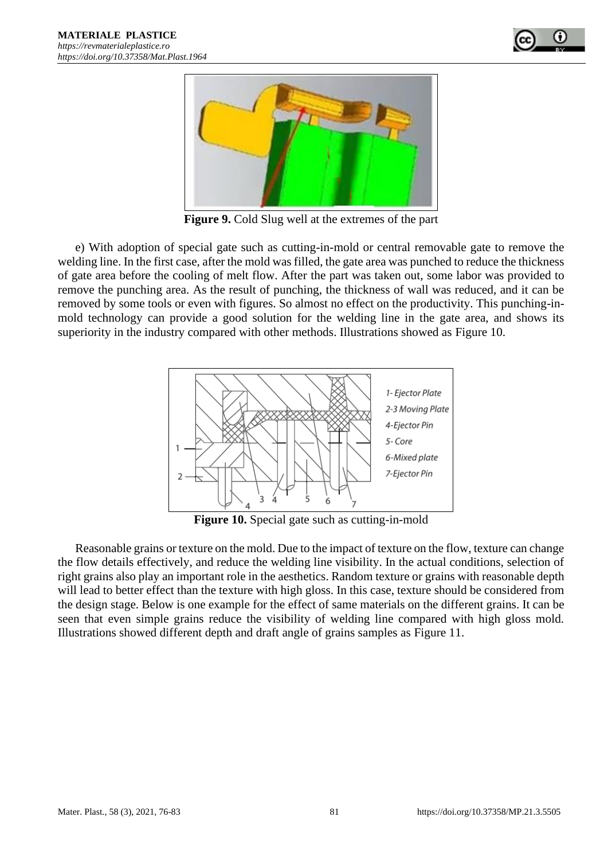



**Figure 9.** Cold Slug well at the extremes of the part

e) With adoption of special gate such as cutting-in-mold or central removable gate to remove the welding line. In the first case, after the mold was filled, the gate area was punched to reduce the thickness of gate area before the cooling of melt flow. After the part was taken out, some labor was provided to remove the punching area. As the result of punching, the thickness of wall was reduced, and it can be removed by some tools or even with figures. So almost no effect on the productivity. This punching-inmold technology can provide a good solution for the welding line in the gate area, and shows its superiority in the industry compared with other methods. Illustrations showed as Figure 10.



**Figure 10.** Special gate such as cutting-in-mold

Reasonable grains or texture on the mold. Due to the impact of texture on the flow, texture can change the flow details effectively, and reduce the welding line visibility. In the actual conditions, selection of right grains also play an important role in the aesthetics. Random texture or grains with reasonable depth will lead to better effect than the texture with high gloss. In this case, texture should be considered from the design stage. Below is one example for the effect of same materials on the different grains. It can be seen that even simple grains reduce the visibility of welding line compared with high gloss mold. Illustrations showed different depth and draft angle of grains samples as Figure 11.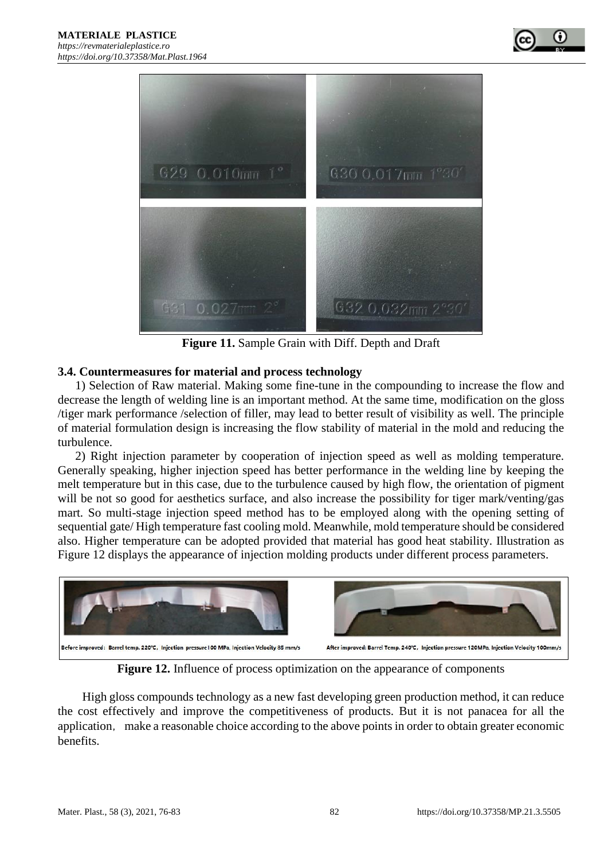



**Figure 11.** Sample Grain with Diff. Depth and Draft

## **3.4. Countermeasures for material and process technology**

1) Selection of Raw material. Making some fine-tune in the compounding to increase the flow and decrease the length of welding line is an important method. At the same time, modification on the gloss /tiger mark performance /selection of filler, may lead to better result of visibility as well. The principle of material formulation design is increasing the flow stability of material in the mold and reducing the turbulence.

2) Right injection parameter by cooperation of injection speed as well as molding temperature. Generally speaking, higher injection speed has better performance in the welding line by keeping the melt temperature but in this case, due to the turbulence caused by high flow, the orientation of pigment will be not so good for aesthetics surface, and also increase the possibility for tiger mark/venting/gas mart. So multi-stage injection speed method has to be employed along with the opening setting of sequential gate/ High temperature fast cooling mold. Meanwhile, mold temperature should be considered also. Higher temperature can be adopted provided that material has good heat stability. Illustration as Figure 12 displays the appearance of injection molding products under different process parameters.



**Figure 12.** Influence of process optimization on the appearance of components

High gloss compounds technology as a new fast developing green production method, it can reduce the cost effectively and improve the competitiveness of products. But it is not panacea for all the application, make a reasonable choice according to the above points in order to obtain greater economic benefits.